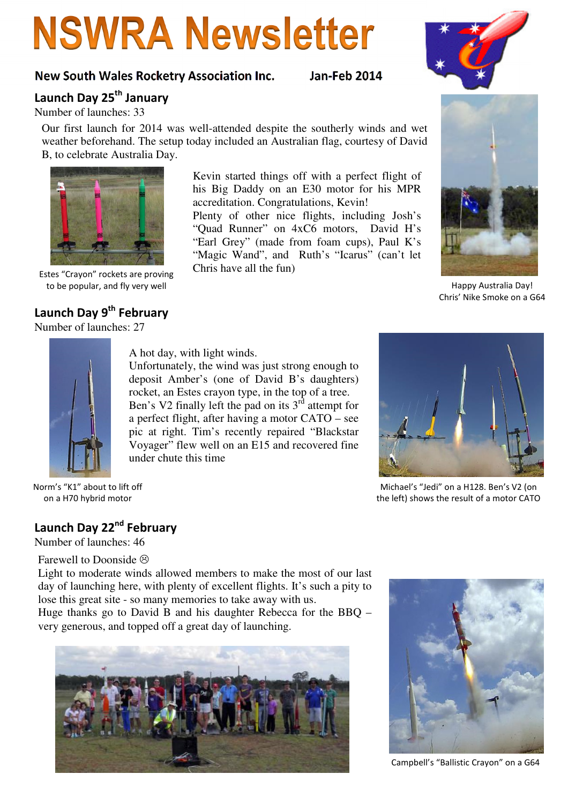# **NSWRA Newsletter**

#### New South Wales Rocketry Association Inc. Jan-Feb 2014

## Launch Day 25<sup>th</sup> January

Number of launches: 33

Our first launch for 2014 was well-attended despite the southerly winds and wet weather beforehand. The setup today included an Australian flag, courtesy of David B, to celebrate Australia Day.

> Kevin started things off with a perfect flight of his Big Daddy on an E30 motor for his MPR accreditation. Congratulations, Kevin! Plenty of other nice flights, including Josh's "Quad Runner" on 4xC6 motors, David H's "Earl Grey" (made from foam cups), Paul K's "Magic Wand", and Ruth's "Icarus" (can't let

Chris have all the fun)

Chris' Nike Smoke on a G64

A hot day, with light winds.

Unfortunately, the wind was just strong enough to deposit Amber's (one of David B's daughters) rocket, an Estes crayon type, in the top of a tree. Ben's V2 finally left the pad on its  $3<sup>rd</sup>$  attempt for a perfect flight, after having a motor CATO – see pic at right. Tim's recently repaired "Blackstar Voyager" flew well on an E15 and recovered fine under chute this time

> Michael's "Jedi" on a H128. Ben's V2 (on the left) shows the result of a motor CATO

Norm's "K1" about to lift off on a H70 hybrid motor

### Launch Day 22<sup>nd</sup> February

Number of launches: 46

Farewell to Doonside  $\odot$ 

Light to moderate winds allowed members to make the most of our last day of launching here, with plenty of excellent flights. It's such a pity to lose this great site - so many memories to take away with us.

Huge thanks go to David B and his daughter Rebecca for the BBQ – very generous, and topped off a great day of launching.



Campbell's "Ballistic Crayon" on a G64







Launch Day 9<sup>th</sup> February

Number of launches: 27